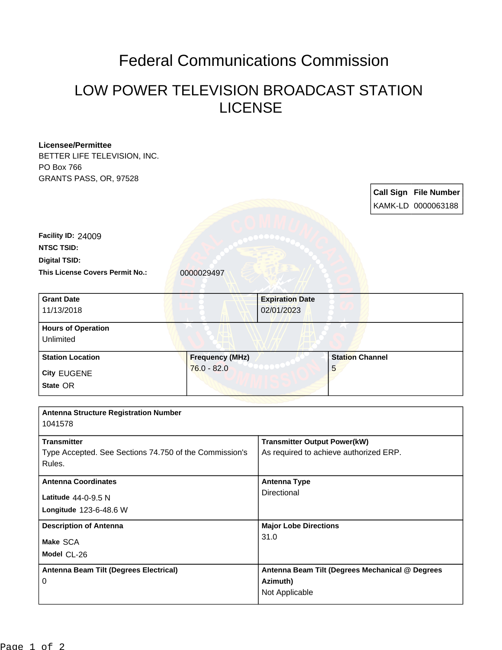## Federal Communications Commission

## LOW POWER TELEVISION BROADCAST STATION LICENSE

| <b>Licensee/Permittee</b>                    |                                                        |                                                             |                                        |  |                       |  |
|----------------------------------------------|--------------------------------------------------------|-------------------------------------------------------------|----------------------------------------|--|-----------------------|--|
| BETTER LIFE TELEVISION, INC.                 |                                                        |                                                             |                                        |  |                       |  |
| PO Box 766                                   |                                                        |                                                             |                                        |  |                       |  |
| GRANTS PASS, OR, 97528                       |                                                        |                                                             |                                        |  |                       |  |
|                                              |                                                        |                                                             |                                        |  | Call Sign File Number |  |
|                                              |                                                        |                                                             |                                        |  | KAMK-LD 0000063188    |  |
|                                              |                                                        |                                                             |                                        |  |                       |  |
|                                              |                                                        |                                                             |                                        |  |                       |  |
| Facility ID: 24009                           |                                                        |                                                             |                                        |  |                       |  |
| <b>NTSC TSID:</b>                            |                                                        |                                                             |                                        |  |                       |  |
| <b>Digital TSID:</b>                         |                                                        |                                                             |                                        |  |                       |  |
| This License Covers Permit No.:              | 0000029497                                             |                                                             |                                        |  |                       |  |
|                                              |                                                        |                                                             |                                        |  |                       |  |
|                                              |                                                        |                                                             |                                        |  |                       |  |
| <b>Grant Date</b>                            |                                                        | <b>Expiration Date</b>                                      |                                        |  |                       |  |
| 11/13/2018                                   |                                                        | 02/01/2023                                                  |                                        |  |                       |  |
| <b>Hours of Operation</b>                    |                                                        |                                                             |                                        |  |                       |  |
| Unlimited                                    |                                                        |                                                             |                                        |  |                       |  |
|                                              |                                                        |                                                             |                                        |  |                       |  |
| <b>Station Location</b>                      | <b>Frequency (MHz)</b>                                 |                                                             | <b>Station Channel</b>                 |  |                       |  |
| <b>City EUGENE</b>                           | $76.0 - 82.0$                                          |                                                             | 5                                      |  |                       |  |
| State OR                                     |                                                        |                                                             |                                        |  |                       |  |
|                                              |                                                        |                                                             |                                        |  |                       |  |
|                                              |                                                        |                                                             |                                        |  |                       |  |
| <b>Antenna Structure Registration Number</b> |                                                        |                                                             |                                        |  |                       |  |
| 1041578                                      |                                                        |                                                             |                                        |  |                       |  |
| <b>Transmitter</b>                           |                                                        | <b>Transmitter Output Power(kW)</b>                         |                                        |  |                       |  |
|                                              | Type Accepted. See Sections 74.750 of the Commission's |                                                             | As required to achieve authorized ERP. |  |                       |  |
| Rules.                                       |                                                        |                                                             |                                        |  |                       |  |
|                                              |                                                        |                                                             |                                        |  |                       |  |
| <b>Antenna Coordinates</b>                   |                                                        | <b>Antenna Type</b>                                         |                                        |  |                       |  |
| Latitude $44-0-9.5$ N                        |                                                        | Directional                                                 |                                        |  |                       |  |
| Longitude 123-6-48.6 W                       |                                                        |                                                             |                                        |  |                       |  |
|                                              |                                                        |                                                             |                                        |  |                       |  |
| <b>Description of Antenna</b>                |                                                        | <b>Major Lobe Directions</b>                                |                                        |  |                       |  |
| Make SCA                                     |                                                        | 31.0                                                        |                                        |  |                       |  |
| Model CL-26                                  |                                                        |                                                             |                                        |  |                       |  |
|                                              |                                                        |                                                             |                                        |  |                       |  |
| Antenna Beam Tilt (Degrees Electrical)<br>0  |                                                        | Antenna Beam Tilt (Degrees Mechanical @ Degrees<br>Azimuth) |                                        |  |                       |  |
|                                              |                                                        | Not Applicable                                              |                                        |  |                       |  |
|                                              |                                                        |                                                             |                                        |  |                       |  |